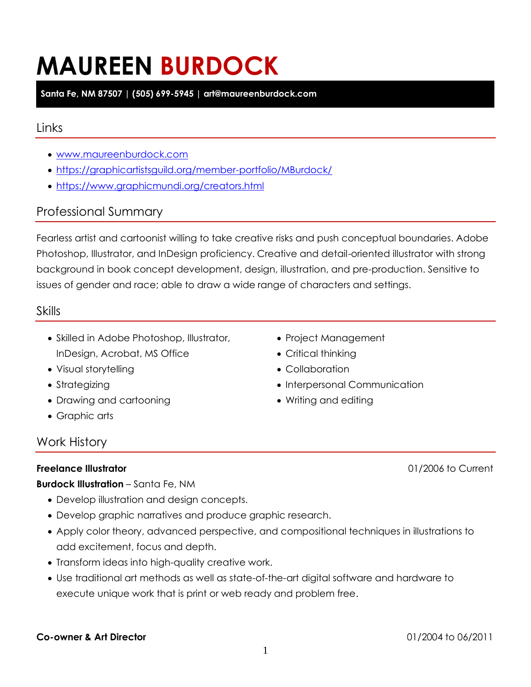# **MAUREEN BURDOCK**

**Santa Fe, NM 87507 | (505) 699-5945 | art@maureenburdock.com**

# Links

- [www.maureenburdock.com](http://www.maureenburdock.com/)
- <https://graphicartistsguild.org/member-portfolio/MBurdock/>
- <https://www.graphicmundi.org/creators.html>

# Professional Summary

Fearless artist and cartoonist willing to take creative risks and push conceptual boundaries. Adobe Photoshop, Illustrator, and InDesign proficiency. Creative and detail-oriented illustrator with strong background in book concept development, design, illustration, and pre-production. Sensitive to issues of gender and race; able to draw a wide range of characters and settings.

## Skills

- Skilled in Adobe Photoshop, Illustrator, InDesign, Acrobat, MS Office
- Visual storytelling
- Strategizing
- Drawing and cartooning
- Graphic arts

## Work History

#### **Freelance Illustrator** 01/2006 to Current

**Burdock Illustration** – Santa Fe, NM

- Develop illustration and design concepts.
- Develop graphic narratives and produce graphic research.
- Apply color theory, advanced perspective, and compositional techniques in illustrations to add excitement, focus and depth.
- Transform ideas into high-quality creative work.
- Use traditional art methods as well as state-of-the-art digital software and hardware to execute unique work that is print or web ready and problem free.

#### **Co-owner & Art Director** 01/2004 to 06/2011

- Project Management
- Critical thinking
- Collaboration
- Interpersonal Communication
- Writing and editing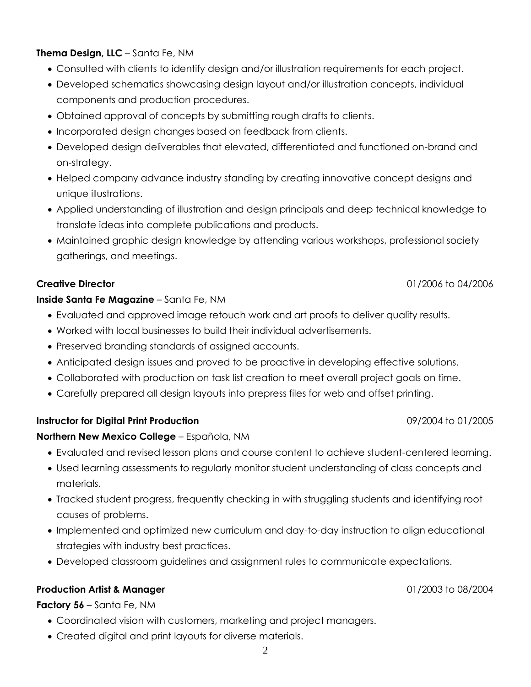**Thema Design, LLC** – Santa Fe, NM

- Consulted with clients to identify design and/or illustration requirements for each project.
- Developed schematics showcasing design layout and/or illustration concepts, individual components and production procedures.
- Obtained approval of concepts by submitting rough drafts to clients.
- Incorporated design changes based on feedback from clients.
- Developed design deliverables that elevated, differentiated and functioned on-brand and on-strategy.
- Helped company advance industry standing by creating innovative concept designs and unique illustrations.
- Applied understanding of illustration and design principals and deep technical knowledge to translate ideas into complete publications and products.
- Maintained graphic design knowledge by attending various workshops, professional society gatherings, and meetings.

## **Creative Director** 01/2006 to 04/2006

## **Inside Santa Fe Magazine** – Santa Fe, NM

- Evaluated and approved image retouch work and art proofs to deliver quality results.
- Worked with local businesses to build their individual advertisements.
- Preserved branding standards of assigned accounts.
- Anticipated design issues and proved to be proactive in developing effective solutions.
- Collaborated with production on task list creation to meet overall project goals on time.
- Carefully prepared all design layouts into prepress files for web and offset printing.

## **Instructor for Digital Print Production**

#### **Northern New Mexico College** – Española, NM

- Evaluated and revised lesson plans and course content to achieve student-centered learning.
- Used learning assessments to regularly monitor student understanding of class concepts and materials.
- Tracked student progress, frequently checking in with struggling students and identifying root causes of problems.
- Implemented and optimized new curriculum and day-to-day instruction to align educational strategies with industry best practices.
- Developed classroom guidelines and assignment rules to communicate expectations.

## **Production Artist & Manager** 01/2003 to 08/2004

**Factory 56** – Santa Fe, NM

- Coordinated vision with customers, marketing and project managers.
- Created digital and print layouts for diverse materials.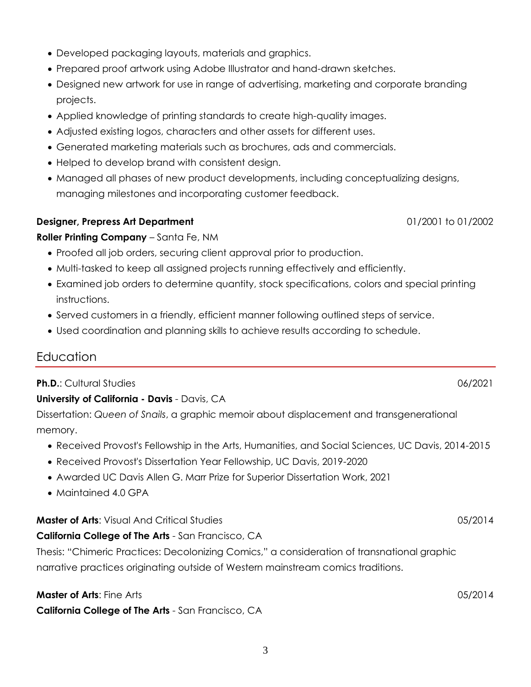- Developed packaging layouts, materials and graphics.
- Prepared proof artwork using Adobe Illustrator and hand-drawn sketches.
- Designed new artwork for use in range of advertising, marketing and corporate branding projects.
- Applied knowledge of printing standards to create high-quality images.
- Adjusted existing logos, characters and other assets for different uses.
- Generated marketing materials such as brochures, ads and commercials.
- Helped to develop brand with consistent design.
- Managed all phases of new product developments, including conceptualizing designs, managing milestones and incorporating customer feedback.

#### **Designer, Prepress Art Department** 01/2001 to 01/2002

#### **Roller Printing Company** – Santa Fe, NM

- Proofed all job orders, securing client approval prior to production.
- Multi-tasked to keep all assigned projects running effectively and efficiently.
- Examined job orders to determine quantity, stock specifications, colors and special printing instructions.
- Served customers in a friendly, efficient manner following outlined steps of service.
- Used coordination and planning skills to achieve results according to schedule.

# **Education**

## **Ph.D.**: Cultural Studies **Cultural Studies Cultural Studies Cultural Studies Cultural Studies Cultural Studies**

## **University of California - Davis** - Davis, CA

Dissertation: *Queen of Snails*, a graphic memoir about displacement and transgenerational memory.

- Received Provost's Fellowship in the Arts, Humanities, and Social Sciences, UC Davis, 2014-2015
- Received Provost's Dissertation Year Fellowship, UC Davis, 2019-2020
- Awarded UC Davis Allen G. Marr Prize for Superior Dissertation Work, 2021
- Maintained 4.0 GPA

## **Master of Arts**: Visual And Critical Studies **05/2014** 05/2014

#### **California College of The Arts** - San Francisco, CA

Thesis: "Chimeric Practices: Decolonizing Comics," a consideration of transnational graphic narrative practices originating outside of Western mainstream comics traditions.

#### **Master of Arts**: Fine Arts **Contract Contract Contract Contract Contract Contract Contract Contract Contract Contract Contract Contract Contract Contract Contract Contract Contract Contract Contract Contract Contract Cont**

**California College of The Arts** - San Francisco, CA